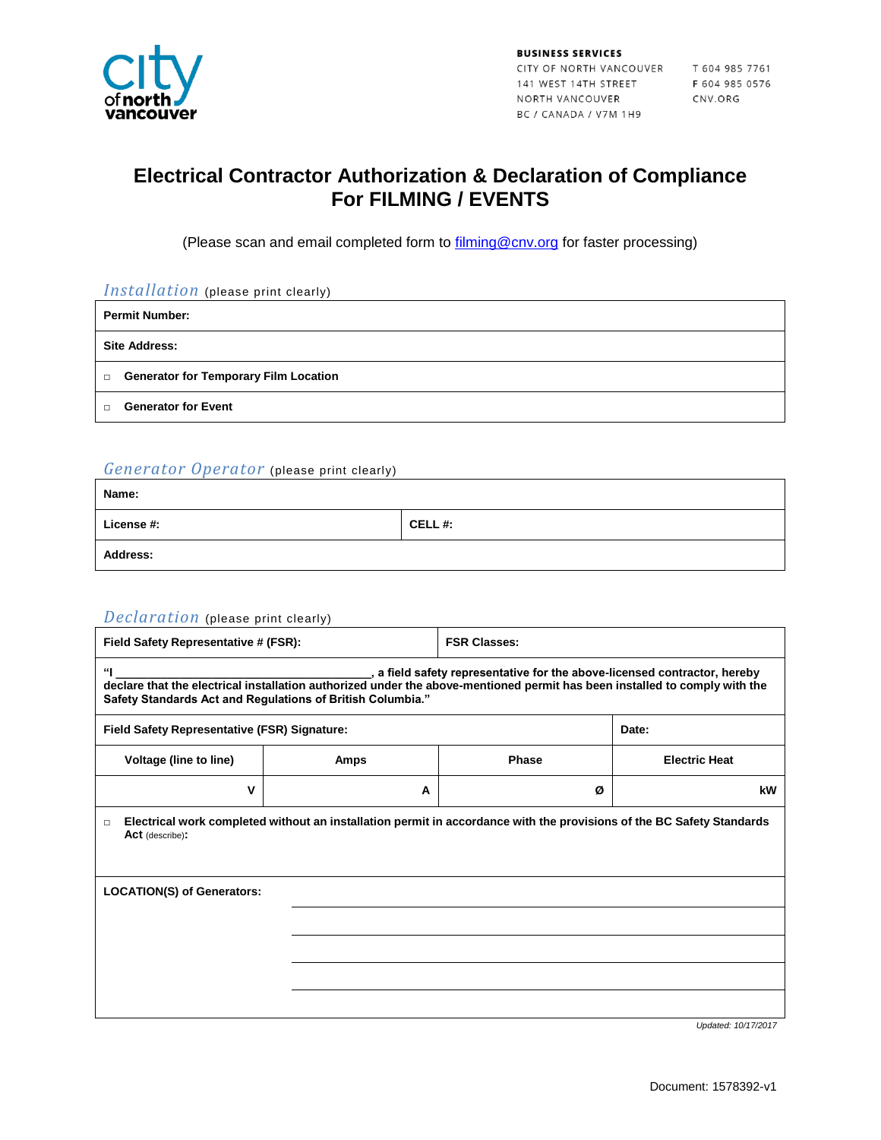

**BUSINESS SERVICES** CITY OF NORTH VANCOUVER T 604 985 7761<br>141 WEST 14TH STREET F 604 985 0576<br>NORTH VANCOUVER CNV.ORG<br>BC / CANADA / V7M 1H9

### **Electrical Contractor Authorization & Declaration of Compliance For FILMING / EVENTS**

(Please scan and email completed form to **filming@cnv.org** for faster processing)

| Installation (please print clearly)                    |  |  |  |
|--------------------------------------------------------|--|--|--|
| <b>Permit Number:</b>                                  |  |  |  |
| <b>Site Address:</b>                                   |  |  |  |
| <b>Generator for Temporary Film Location</b><br>$\Box$ |  |  |  |
| <b>Generator for Event</b><br>$\Box$                   |  |  |  |

#### *Generator Operator* (please print clearly)

| Name:           |        |
|-----------------|--------|
| License #:      | CELL#: |
| <b>Address:</b> |        |

### *Declaration* (please print clearly)

| Field Safety Representative # (FSR):                                                                                                                                                                                                                                       |             | <b>FSR Classes:</b> |                      |  |  |
|----------------------------------------------------------------------------------------------------------------------------------------------------------------------------------------------------------------------------------------------------------------------------|-------------|---------------------|----------------------|--|--|
| "<br>, a field safety representative for the above-licensed contractor, hereby<br>declare that the electrical installation authorized under the above-mentioned permit has been installed to comply with the<br>Safety Standards Act and Regulations of British Columbia." |             |                     |                      |  |  |
| Field Safety Representative (FSR) Signature:                                                                                                                                                                                                                               |             |                     | Date:                |  |  |
| Voltage (line to line)                                                                                                                                                                                                                                                     | <b>Amps</b> | <b>Phase</b>        | <b>Electric Heat</b> |  |  |
| v                                                                                                                                                                                                                                                                          | A           | Ø                   | kW                   |  |  |
| Electrical work completed without an installation permit in accordance with the provisions of the BC Safety Standards<br>$\Box$<br>Act (describe):                                                                                                                         |             |                     |                      |  |  |
| <b>LOCATION(S) of Generators:</b>                                                                                                                                                                                                                                          |             |                     |                      |  |  |
|                                                                                                                                                                                                                                                                            |             |                     |                      |  |  |
|                                                                                                                                                                                                                                                                            |             |                     |                      |  |  |
|                                                                                                                                                                                                                                                                            |             |                     |                      |  |  |
|                                                                                                                                                                                                                                                                            |             |                     |                      |  |  |

*Updated: 10/17/2017*